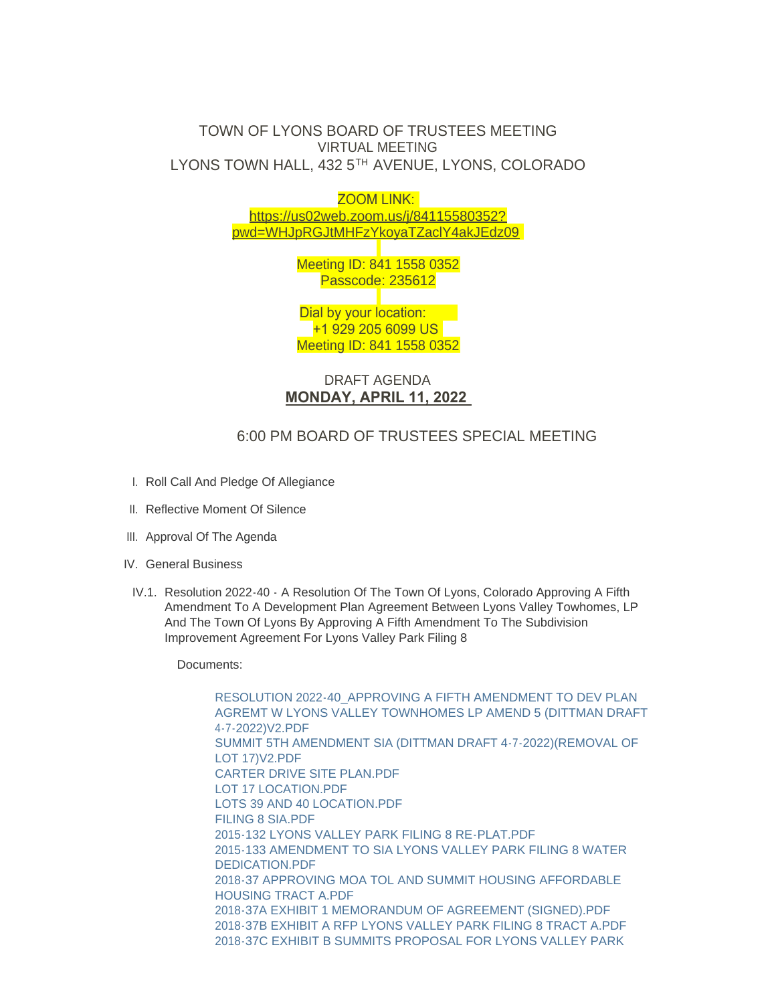## TOWN OF LYONS BOARD OF TRUSTEES MEETING VIRTUAL MEETING LYONS TOWN HALL, 432 5TH AVENUE, LYONS, COLORADO



DRAFT AGENDA **MONDAY, APRIL 11, 2022** 

## 6:00 PM BOARD OF TRUSTEES SPECIAL MEETING

- I. Roll Call And Pledge Of Allegiance
- II. Reflective Moment Of Silence
- III. Approval Of The Agenda
- IV. General Business
- IV.1. Resolution 2022-40 A Resolution Of The Town Of Lyons, Colorado Approving A Fifth Amendment To A Development Plan Agreement Between Lyons Valley Towhomes, LP And The Town Of Lyons By Approving A Fifth Amendment To The Subdivision Improvement Agreement For Lyons Valley Park Filing 8

Documents:

RESOLUTION 2022-40\_APPROVING A FIFTH AMENDMENT TO DEV PLAN [AGREMT W LYONS VALLEY TOWNHOMES LP AMEND 5 \(DITTMAN DRAFT](https://www.townoflyons.com/AgendaCenter/ViewFile/Item/10061?fileID=20976)  4-7-2022)V2.PDF [SUMMIT 5TH AMENDMENT SIA \(DITTMAN DRAFT 4-7-2022\)\(REMOVAL OF](https://www.townoflyons.com/AgendaCenter/ViewFile/Item/10061?fileID=20977)  LOT 17)V2.PDF [CARTER DRIVE SITE PLAN.PDF](https://www.townoflyons.com/AgendaCenter/ViewFile/Item/10061?fileID=20972) [LOT 17 LOCATION.PDF](https://www.townoflyons.com/AgendaCenter/ViewFile/Item/10061?fileID=20974) [LOTS 39 AND 40 LOCATION.PDF](https://www.townoflyons.com/AgendaCenter/ViewFile/Item/10061?fileID=20975) [FILING 8 SIA.PDF](https://www.townoflyons.com/AgendaCenter/ViewFile/Item/10061?fileID=20973) 2015-132 LYONS VALLEY PARK FILING 8 RF-PLAT PDF [2015-133 AMENDMENT TO SIA LYONS VALLEY PARK FILING 8 WATER](https://www.townoflyons.com/AgendaCenter/ViewFile/Item/10061?fileID=20969)  DEDICATION.PDF [2018-37 APPROVING MOA TOL AND SUMMIT HOUSING AFFORDABLE](https://www.townoflyons.com/AgendaCenter/ViewFile/Item/10061?fileID=20970)  HOUSING TRACT A.PDF [2018-37A EXHIBIT 1 MEMORANDUM OF AGREEMENT \(SIGNED\).PDF](https://www.townoflyons.com/AgendaCenter/ViewFile/Item/10061?fileID=20971) [2018-37B EXHIBIT A RFP LYONS VALLEY PARK FILING 8 TRACT A.PDF](https://www.townoflyons.com/AgendaCenter/ViewFile/Item/10061?fileID=20961) [2018-37C EXHIBIT B SUMMITS PROPOSAL FOR LYONS VALLEY PARK](https://www.townoflyons.com/AgendaCenter/ViewFile/Item/10061?fileID=20962)